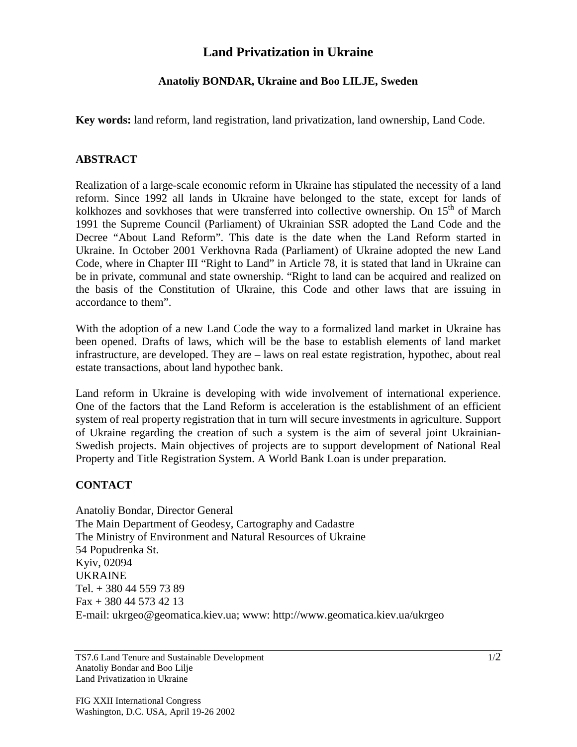## **Land Privatization in Ukraine**

## **Anatoliy BONDAR, Ukraine and Boo LILJE, Sweden**

**Key words:** land reform, land registration, land privatization, land ownership, Land Code.

## **ABSTRACT**

Realization of a large-scale economic reform in Ukraine has stipulated the necessity of a land reform. Since 1992 all lands in Ukraine have belonged to the state, except for lands of kolkhozes and sovkhoses that were transferred into collective ownership. On  $15<sup>th</sup>$  of March 1991 the Supreme Council (Parliament) of Ukrainian SSR adopted the Land Code and the Decree "About Land Reform". This date is the date when the Land Reform started in Ukraine. In October 2001 Verkhovna Rada (Parliament) of Ukraine adopted the new Land Code, where in Chapter III "Right to Land" in Article 78, it is stated that land in Ukraine can be in private, communal and state ownership. "Right to land can be acquired and realized on the basis of the Constitution of Ukraine, this Code and other laws that are issuing in accordance to them".

With the adoption of a new Land Code the way to a formalized land market in Ukraine has been opened. Drafts of laws, which will be the base to establish elements of land market infrastructure, are developed. They are – laws on real estate registration, hypothec, about real estate transactions, about land hypothec bank.

Land reform in Ukraine is developing with wide involvement of international experience. One of the factors that the Land Reform is acceleration is the establishment of an efficient system of real property registration that in turn will secure investments in agriculture. Support of Ukraine regarding the creation of such a system is the aim of several joint Ukrainian-Swedish projects. Main objectives of projects are to support development of National Real Property and Title Registration System. A World Bank Loan is under preparation.

## **CONTACT**

Anatoliy Bondar, Director General The Main Department of Geodesy, Cartography and Cadastre The Ministry of Environment and Natural Resources of Ukraine 54 Popudrenka St. Kyiv, 02094 UKRAINE Tel. + 380 44 559 73 89 Fax + 380 44 573 42 13 E-mail: ukrgeo@geomatica.kiev.ua; www: http://www.geomatica.kiev.ua/ukrgeo

TS7.6 Land Tenure and Sustainable Development Anatoliy Bondar and Boo Lilje Land Privatization in Ukraine